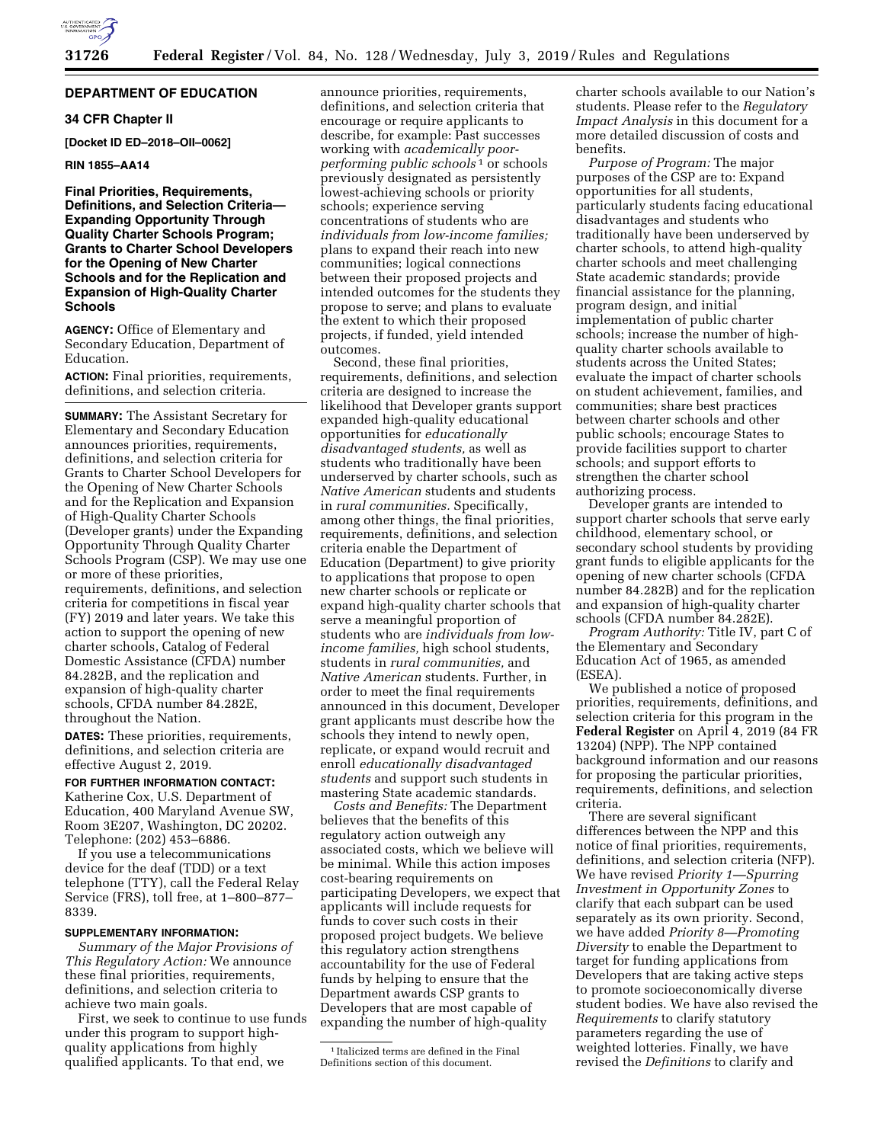

#### **DEPARTMENT OF EDUCATION**

# **34 CFR Chapter II**

**[Docket ID ED–2018–OII–0062]** 

# **RIN 1855–AA14**

# **Final Priorities, Requirements, Definitions, and Selection Criteria— Expanding Opportunity Through Quality Charter Schools Program; Grants to Charter School Developers for the Opening of New Charter Schools and for the Replication and Expansion of High-Quality Charter Schools**

**AGENCY:** Office of Elementary and Secondary Education, Department of Education.

**ACTION:** Final priorities, requirements, definitions, and selection criteria.

**SUMMARY:** The Assistant Secretary for Elementary and Secondary Education announces priorities, requirements, definitions, and selection criteria for Grants to Charter School Developers for the Opening of New Charter Schools and for the Replication and Expansion of High-Quality Charter Schools (Developer grants) under the Expanding Opportunity Through Quality Charter Schools Program (CSP). We may use one or more of these priorities, requirements, definitions, and selection criteria for competitions in fiscal year (FY) 2019 and later years. We take this action to support the opening of new charter schools, Catalog of Federal Domestic Assistance (CFDA) number 84.282B, and the replication and expansion of high-quality charter schools, CFDA number 84.282E, throughout the Nation.

**DATES:** These priorities, requirements, definitions, and selection criteria are effective August 2, 2019.

# **FOR FURTHER INFORMATION CONTACT:**

Katherine Cox, U.S. Department of Education, 400 Maryland Avenue SW, Room 3E207, Washington, DC 20202. Telephone: (202) 453–6886.

If you use a telecommunications device for the deaf (TDD) or a text telephone (TTY), call the Federal Relay Service (FRS), toll free, at 1–800–877– 8339.

### **SUPPLEMENTARY INFORMATION:**

*Summary of the Major Provisions of This Regulatory Action:* We announce these final priorities, requirements, definitions, and selection criteria to achieve two main goals.

First, we seek to continue to use funds under this program to support highquality applications from highly qualified applicants. To that end, we

announce priorities, requirements, definitions, and selection criteria that encourage or require applicants to describe, for example: Past successes working with *academically poorperforming public schools*<sup>1</sup> or schools previously designated as persistently lowest-achieving schools or priority schools; experience serving concentrations of students who are *individuals from low-income families;*  plans to expand their reach into new communities; logical connections between their proposed projects and intended outcomes for the students they propose to serve; and plans to evaluate the extent to which their proposed projects, if funded, yield intended outcomes.

Second, these final priorities, requirements, definitions, and selection criteria are designed to increase the likelihood that Developer grants support expanded high-quality educational opportunities for *educationally disadvantaged students,* as well as students who traditionally have been underserved by charter schools, such as *Native American* students and students in *rural communities.* Specifically, among other things, the final priorities, requirements, definitions, and selection criteria enable the Department of Education (Department) to give priority to applications that propose to open new charter schools or replicate or expand high-quality charter schools that serve a meaningful proportion of students who are *individuals from lowincome families,* high school students, students in *rural communities,* and *Native American* students. Further, in order to meet the final requirements announced in this document, Developer grant applicants must describe how the schools they intend to newly open, replicate, or expand would recruit and enroll *educationally disadvantaged students* and support such students in mastering State academic standards.

*Costs and Benefits:* The Department believes that the benefits of this regulatory action outweigh any associated costs, which we believe will be minimal. While this action imposes cost-bearing requirements on participating Developers, we expect that applicants will include requests for funds to cover such costs in their proposed project budgets. We believe this regulatory action strengthens accountability for the use of Federal funds by helping to ensure that the Department awards CSP grants to Developers that are most capable of expanding the number of high-quality

1 Italicized terms are defined in the Final Definitions section of this document.

charter schools available to our Nation's students. Please refer to the *Regulatory Impact Analysis* in this document for a more detailed discussion of costs and benefits.

*Purpose of Program:* The major purposes of the CSP are to: Expand opportunities for all students, particularly students facing educational disadvantages and students who traditionally have been underserved by charter schools, to attend high-quality charter schools and meet challenging State academic standards; provide financial assistance for the planning, program design, and initial implementation of public charter schools; increase the number of highquality charter schools available to students across the United States; evaluate the impact of charter schools on student achievement, families, and communities; share best practices between charter schools and other public schools; encourage States to provide facilities support to charter schools; and support efforts to strengthen the charter school authorizing process.

Developer grants are intended to support charter schools that serve early childhood, elementary school, or secondary school students by providing grant funds to eligible applicants for the opening of new charter schools (CFDA number 84.282B) and for the replication and expansion of high-quality charter schools (CFDA number 84.282E).

*Program Authority:* Title IV, part C of the Elementary and Secondary Education Act of 1965, as amended (ESEA).

We published a notice of proposed priorities, requirements, definitions, and selection criteria for this program in the **Federal Register** on April 4, 2019 (84 FR 13204) (NPP). The NPP contained background information and our reasons for proposing the particular priorities, requirements, definitions, and selection criteria.

There are several significant differences between the NPP and this notice of final priorities, requirements, definitions, and selection criteria (NFP). We have revised *Priority 1—Spurring Investment in Opportunity Zones* to clarify that each subpart can be used separately as its own priority. Second, we have added *Priority 8—Promoting Diversity* to enable the Department to target for funding applications from Developers that are taking active steps to promote socioeconomically diverse student bodies. We have also revised the *Requirements* to clarify statutory parameters regarding the use of weighted lotteries. Finally, we have revised the *Definitions* to clarify and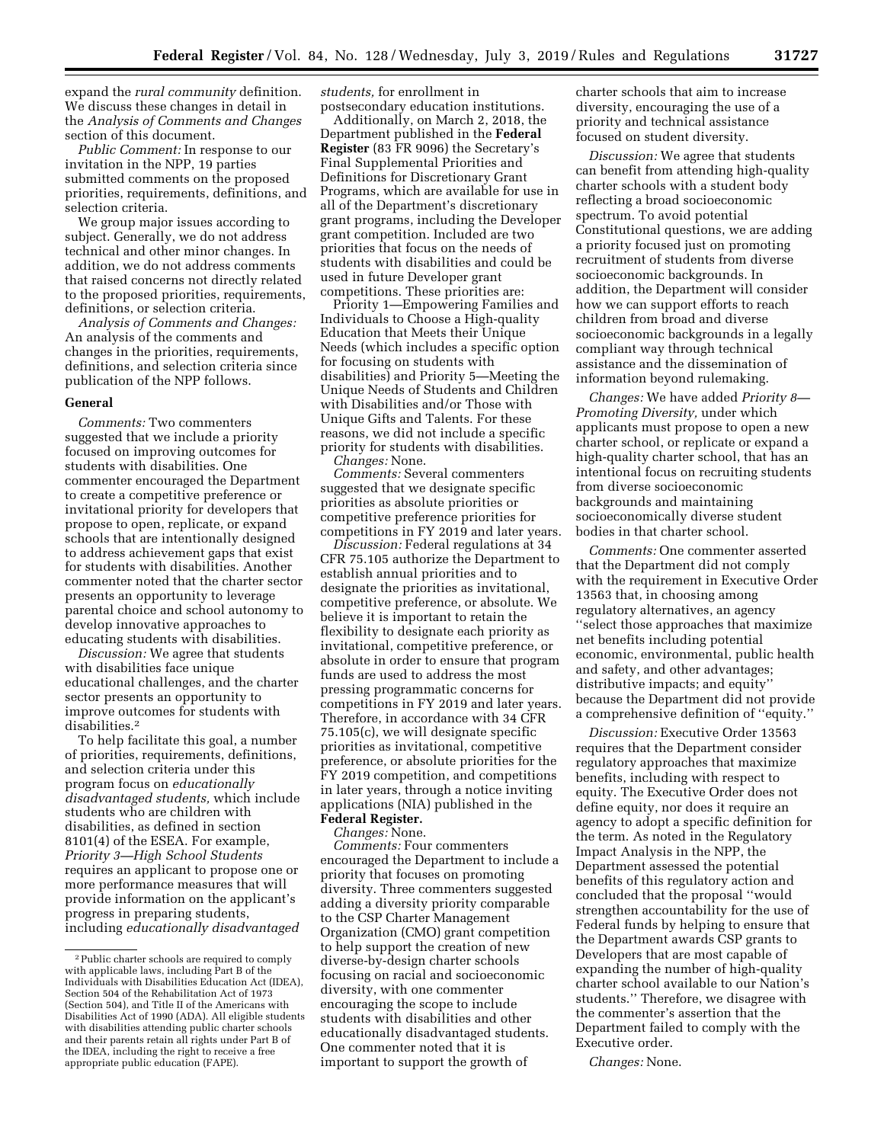expand the *rural community* definition. We discuss these changes in detail in the *Analysis of Comments and Changes*  section of this document.

*Public Comment:* In response to our invitation in the NPP, 19 parties submitted comments on the proposed priorities, requirements, definitions, and selection criteria.

We group major issues according to subject. Generally, we do not address technical and other minor changes. In addition, we do not address comments that raised concerns not directly related to the proposed priorities, requirements, definitions, or selection criteria.

*Analysis of Comments and Changes:*  An analysis of the comments and changes in the priorities, requirements, definitions, and selection criteria since publication of the NPP follows.

#### **General**

*Comments:* Two commenters suggested that we include a priority focused on improving outcomes for students with disabilities. One commenter encouraged the Department to create a competitive preference or invitational priority for developers that propose to open, replicate, or expand schools that are intentionally designed to address achievement gaps that exist for students with disabilities. Another commenter noted that the charter sector presents an opportunity to leverage parental choice and school autonomy to develop innovative approaches to educating students with disabilities.

*Discussion:* We agree that students with disabilities face unique educational challenges, and the charter sector presents an opportunity to improve outcomes for students with disabilities.2

To help facilitate this goal, a number of priorities, requirements, definitions, and selection criteria under this program focus on *educationally disadvantaged students,* which include students who are children with disabilities, as defined in section 8101(4) of the ESEA. For example, *Priority 3—High School Students*  requires an applicant to propose one or more performance measures that will provide information on the applicant's progress in preparing students, including *educationally disadvantaged*  *students,* for enrollment in postsecondary education institutions.

Additionally, on March 2, 2018, the Department published in the **Federal Register** (83 FR 9096) the Secretary's Final Supplemental Priorities and Definitions for Discretionary Grant Programs, which are available for use in all of the Department's discretionary grant programs, including the Developer grant competition. Included are two priorities that focus on the needs of students with disabilities and could be used in future Developer grant competitions. These priorities are:

Priority 1—Empowering Families and Individuals to Choose a High-quality Education that Meets their Unique Needs (which includes a specific option for focusing on students with disabilities) and Priority 5—Meeting the Unique Needs of Students and Children with Disabilities and/or Those with Unique Gifts and Talents. For these reasons, we did not include a specific priority for students with disabilities. *Changes:* None.

*Comments:* Several commenters suggested that we designate specific priorities as absolute priorities or competitive preference priorities for competitions in FY 2019 and later years.

*Discussion:* Federal regulations at 34 CFR 75.105 authorize the Department to establish annual priorities and to designate the priorities as invitational, competitive preference, or absolute. We believe it is important to retain the flexibility to designate each priority as invitational, competitive preference, or absolute in order to ensure that program funds are used to address the most pressing programmatic concerns for competitions in FY 2019 and later years. Therefore, in accordance with 34 CFR 75.105(c), we will designate specific priorities as invitational, competitive preference, or absolute priorities for the FY 2019 competition, and competitions in later years, through a notice inviting applications (NIA) published in the **Federal Register.** 

# *Changes:* None.

*Comments:* Four commenters encouraged the Department to include a priority that focuses on promoting diversity. Three commenters suggested adding a diversity priority comparable to the CSP Charter Management Organization (CMO) grant competition to help support the creation of new diverse-by-design charter schools focusing on racial and socioeconomic diversity, with one commenter encouraging the scope to include students with disabilities and other educationally disadvantaged students. One commenter noted that it is important to support the growth of

charter schools that aim to increase diversity, encouraging the use of a priority and technical assistance focused on student diversity.

*Discussion:* We agree that students can benefit from attending high-quality charter schools with a student body reflecting a broad socioeconomic spectrum. To avoid potential Constitutional questions, we are adding a priority focused just on promoting recruitment of students from diverse socioeconomic backgrounds. In addition, the Department will consider how we can support efforts to reach children from broad and diverse socioeconomic backgrounds in a legally compliant way through technical assistance and the dissemination of information beyond rulemaking.

*Changes:* We have added *Priority 8— Promoting Diversity,* under which applicants must propose to open a new charter school, or replicate or expand a high-quality charter school, that has an intentional focus on recruiting students from diverse socioeconomic backgrounds and maintaining socioeconomically diverse student bodies in that charter school.

*Comments:* One commenter asserted that the Department did not comply with the requirement in Executive Order 13563 that, in choosing among regulatory alternatives, an agency ''select those approaches that maximize net benefits including potential economic, environmental, public health and safety, and other advantages; distributive impacts; and equity'' because the Department did not provide a comprehensive definition of ''equity.''

*Discussion:* Executive Order 13563 requires that the Department consider regulatory approaches that maximize benefits, including with respect to equity. The Executive Order does not define equity, nor does it require an agency to adopt a specific definition for the term. As noted in the Regulatory Impact Analysis in the NPP, the Department assessed the potential benefits of this regulatory action and concluded that the proposal ''would strengthen accountability for the use of Federal funds by helping to ensure that the Department awards CSP grants to Developers that are most capable of expanding the number of high-quality charter school available to our Nation's students.'' Therefore, we disagree with the commenter's assertion that the Department failed to comply with the Executive order.

*Changes:* None.

<sup>2</sup>Public charter schools are required to comply with applicable laws, including Part B of the Individuals with Disabilities Education Act (IDEA), Section 504 of the Rehabilitation Act of 1973 (Section 504), and Title II of the Americans with Disabilities Act of 1990 (ADA). All eligible students with disabilities attending public charter schools and their parents retain all rights under Part B of the IDEA, including the right to receive a free appropriate public education (FAPE).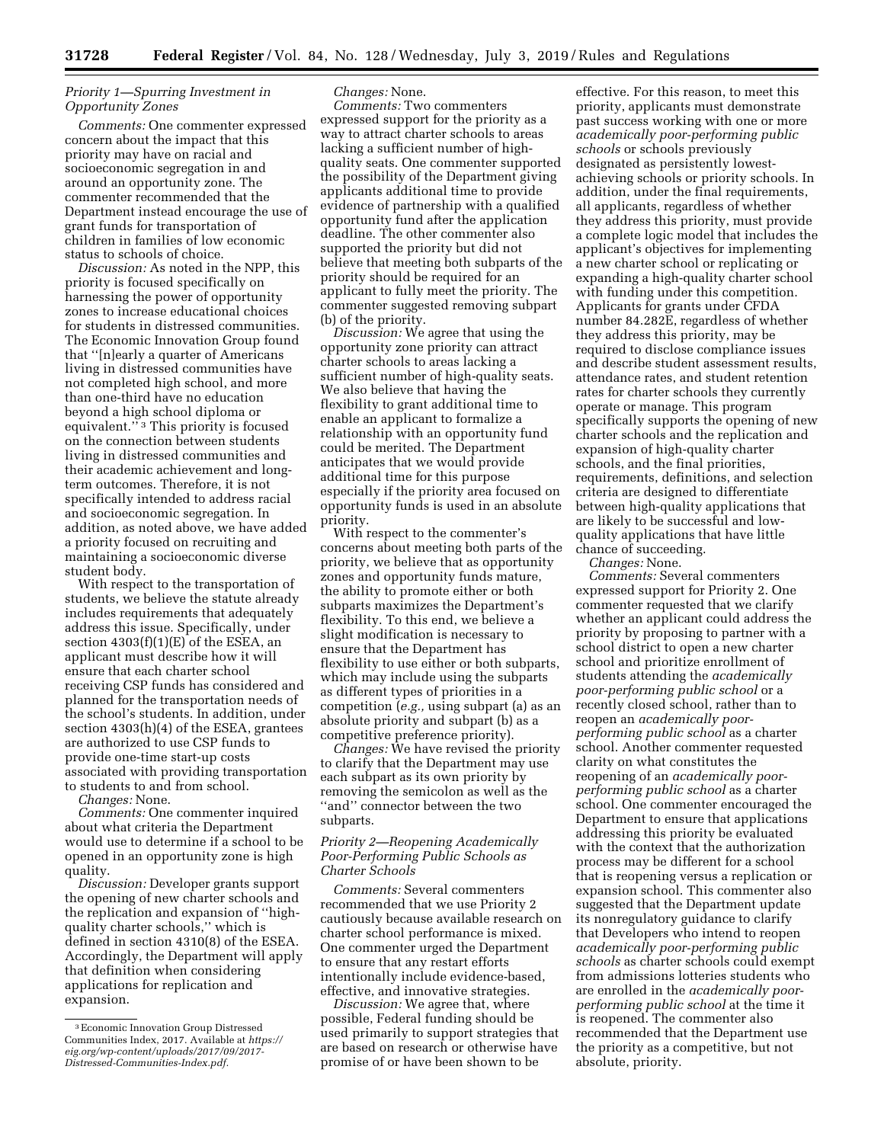# *Priority 1—Spurring Investment in Opportunity Zones*

*Comments:* One commenter expressed concern about the impact that this priority may have on racial and socioeconomic segregation in and around an opportunity zone. The commenter recommended that the Department instead encourage the use of grant funds for transportation of children in families of low economic status to schools of choice.

*Discussion:* As noted in the NPP, this priority is focused specifically on harnessing the power of opportunity zones to increase educational choices for students in distressed communities. The Economic Innovation Group found that ''[n]early a quarter of Americans living in distressed communities have not completed high school, and more than one-third have no education beyond a high school diploma or equivalent."<sup>3</sup> This priority is focused on the connection between students living in distressed communities and their academic achievement and longterm outcomes. Therefore, it is not specifically intended to address racial and socioeconomic segregation. In addition, as noted above, we have added a priority focused on recruiting and maintaining a socioeconomic diverse student body.

With respect to the transportation of students, we believe the statute already includes requirements that adequately address this issue. Specifically, under section  $4303(f)(1)(E)$  of the ESEA, an applicant must describe how it will ensure that each charter school receiving CSP funds has considered and planned for the transportation needs of the school's students. In addition, under section 4303(h)(4) of the ESEA, grantees are authorized to use CSP funds to provide one-time start-up costs associated with providing transportation to students to and from school.

*Changes:* None.

*Comments:* One commenter inquired about what criteria the Department would use to determine if a school to be opened in an opportunity zone is high quality.

*Discussion:* Developer grants support the opening of new charter schools and the replication and expansion of ''highquality charter schools,'' which is defined in section 4310(8) of the ESEA. Accordingly, the Department will apply that definition when considering applications for replication and expansion.

*Changes:* None.

*Comments:* Two commenters expressed support for the priority as a way to attract charter schools to areas lacking a sufficient number of highquality seats. One commenter supported the possibility of the Department giving applicants additional time to provide evidence of partnership with a qualified opportunity fund after the application deadline. The other commenter also supported the priority but did not believe that meeting both subparts of the priority should be required for an applicant to fully meet the priority. The commenter suggested removing subpart (b) of the priority.

*Discussion:* We agree that using the opportunity zone priority can attract charter schools to areas lacking a sufficient number of high-quality seats. We also believe that having the flexibility to grant additional time to enable an applicant to formalize a relationship with an opportunity fund could be merited. The Department anticipates that we would provide additional time for this purpose especially if the priority area focused on opportunity funds is used in an absolute priority.

With respect to the commenter's concerns about meeting both parts of the priority, we believe that as opportunity zones and opportunity funds mature, the ability to promote either or both subparts maximizes the Department's flexibility. To this end, we believe a slight modification is necessary to ensure that the Department has flexibility to use either or both subparts, which may include using the subparts as different types of priorities in a competition (*e.g.,* using subpart (a) as an absolute priority and subpart (b) as a competitive preference priority).

*Changes:* We have revised the priority to clarify that the Department may use each subpart as its own priority by removing the semicolon as well as the ''and'' connector between the two subparts.

# *Priority 2—Reopening Academically Poor-Performing Public Schools as Charter Schools*

*Comments:* Several commenters recommended that we use Priority 2 cautiously because available research on charter school performance is mixed. One commenter urged the Department to ensure that any restart efforts intentionally include evidence-based, effective, and innovative strategies.

*Discussion:* We agree that, where possible, Federal funding should be used primarily to support strategies that are based on research or otherwise have promise of or have been shown to be

effective. For this reason, to meet this priority, applicants must demonstrate past success working with one or more *academically poor-performing public schools* or schools previously designated as persistently lowestachieving schools or priority schools. In addition, under the final requirements, all applicants, regardless of whether they address this priority, must provide a complete logic model that includes the applicant's objectives for implementing a new charter school or replicating or expanding a high-quality charter school with funding under this competition. Applicants for grants under CFDA number 84.282E, regardless of whether they address this priority, may be required to disclose compliance issues and describe student assessment results, attendance rates, and student retention rates for charter schools they currently operate or manage. This program specifically supports the opening of new charter schools and the replication and expansion of high-quality charter schools, and the final priorities, requirements, definitions, and selection criteria are designed to differentiate between high-quality applications that are likely to be successful and lowquality applications that have little chance of succeeding.

*Changes:* None.

*Comments:* Several commenters expressed support for Priority 2. One commenter requested that we clarify whether an applicant could address the priority by proposing to partner with a school district to open a new charter school and prioritize enrollment of students attending the *academically poor-performing public school* or a recently closed school, rather than to reopen an *academically poorperforming public school* as a charter school. Another commenter requested clarity on what constitutes the reopening of an *academically poorperforming public school* as a charter school. One commenter encouraged the Department to ensure that applications addressing this priority be evaluated with the context that the authorization process may be different for a school that is reopening versus a replication or expansion school. This commenter also suggested that the Department update its nonregulatory guidance to clarify that Developers who intend to reopen *academically poor-performing public schools* as charter schools could exempt from admissions lotteries students who are enrolled in the *academically poorperforming public school* at the time it is reopened. The commenter also recommended that the Department use the priority as a competitive, but not absolute, priority.

<sup>3</sup>Economic Innovation Group Distressed Communities Index, 2017. Available at *[https://](https://eig.org/wp-content/uploads/2017/09/2017-Distressed-Communities-Index.pdf) [eig.org/wp-content/uploads/2017/09/2017-](https://eig.org/wp-content/uploads/2017/09/2017-Distressed-Communities-Index.pdf)  [Distressed-Communities-Index.pdf.](https://eig.org/wp-content/uploads/2017/09/2017-Distressed-Communities-Index.pdf)*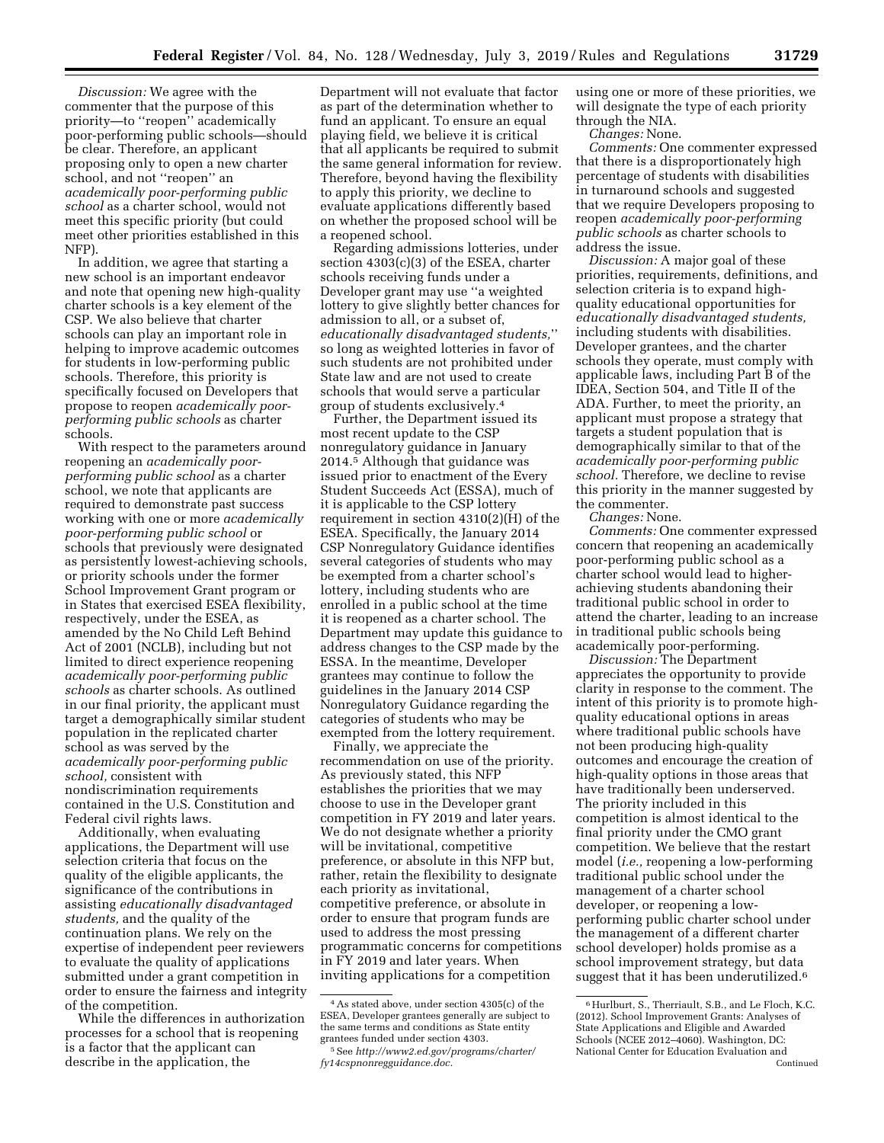*Discussion:* We agree with the commenter that the purpose of this priority—to ''reopen'' academically poor-performing public schools—should be clear. Therefore, an applicant proposing only to open a new charter school, and not ''reopen'' an *academically poor-performing public school* as a charter school, would not meet this specific priority (but could meet other priorities established in this NFP).

In addition, we agree that starting a new school is an important endeavor and note that opening new high-quality charter schools is a key element of the CSP. We also believe that charter schools can play an important role in helping to improve academic outcomes for students in low-performing public schools. Therefore, this priority is specifically focused on Developers that propose to reopen *academically poorperforming public schools* as charter schools.

With respect to the parameters around reopening an *academically poorperforming public school* as a charter school, we note that applicants are required to demonstrate past success working with one or more *academically poor-performing public school* or schools that previously were designated as persistently lowest-achieving schools, or priority schools under the former School Improvement Grant program or in States that exercised ESEA flexibility, respectively, under the ESEA, as amended by the No Child Left Behind Act of 2001 (NCLB), including but not limited to direct experience reopening *academically poor-performing public schools* as charter schools. As outlined in our final priority, the applicant must target a demographically similar student population in the replicated charter school as was served by the *academically poor-performing public school,* consistent with nondiscrimination requirements contained in the U.S. Constitution and Federal civil rights laws.

Additionally, when evaluating applications, the Department will use selection criteria that focus on the quality of the eligible applicants, the significance of the contributions in assisting *educationally disadvantaged students,* and the quality of the continuation plans. We rely on the expertise of independent peer reviewers to evaluate the quality of applications submitted under a grant competition in order to ensure the fairness and integrity of the competition.

While the differences in authorization processes for a school that is reopening is a factor that the applicant can describe in the application, the

Department will not evaluate that factor as part of the determination whether to fund an applicant. To ensure an equal playing field, we believe it is critical that all applicants be required to submit the same general information for review. Therefore, beyond having the flexibility to apply this priority, we decline to evaluate applications differently based on whether the proposed school will be a reopened school.

Regarding admissions lotteries, under section 4303(c)(3) of the ESEA, charter schools receiving funds under a Developer grant may use ''a weighted lottery to give slightly better chances for admission to all, or a subset of, *educationally disadvantaged students,*'' so long as weighted lotteries in favor of such students are not prohibited under State law and are not used to create schools that would serve a particular group of students exclusively.4

Further, the Department issued its most recent update to the CSP nonregulatory guidance in January 2014.5 Although that guidance was issued prior to enactment of the Every Student Succeeds Act (ESSA), much of it is applicable to the CSP lottery requirement in section 4310(2)(H) of the ESEA. Specifically, the January 2014 CSP Nonregulatory Guidance identifies several categories of students who may be exempted from a charter school's lottery, including students who are enrolled in a public school at the time it is reopened as a charter school. The Department may update this guidance to address changes to the CSP made by the ESSA. In the meantime, Developer grantees may continue to follow the guidelines in the January 2014 CSP Nonregulatory Guidance regarding the categories of students who may be exempted from the lottery requirement.

Finally, we appreciate the recommendation on use of the priority. As previously stated, this NFP establishes the priorities that we may choose to use in the Developer grant competition in FY 2019 and later years. We do not designate whether a priority will be invitational, competitive preference, or absolute in this NFP but, rather, retain the flexibility to designate each priority as invitational, competitive preference, or absolute in order to ensure that program funds are used to address the most pressing programmatic concerns for competitions in FY 2019 and later years. When inviting applications for a competition

using one or more of these priorities, we will designate the type of each priority through the NIA.

*Changes:* None.

*Comments:* One commenter expressed that there is a disproportionately high percentage of students with disabilities in turnaround schools and suggested that we require Developers proposing to reopen *academically poor-performing public schools* as charter schools to address the issue.

*Discussion:* A major goal of these priorities, requirements, definitions, and selection criteria is to expand highquality educational opportunities for *educationally disadvantaged students,*  including students with disabilities. Developer grantees, and the charter schools they operate, must comply with applicable laws, including Part B of the IDEA, Section 504, and Title II of the ADA. Further, to meet the priority, an applicant must propose a strategy that targets a student population that is demographically similar to that of the *academically poor-performing public school.* Therefore, we decline to revise this priority in the manner suggested by the commenter.

*Changes:* None.

*Comments:* One commenter expressed concern that reopening an academically poor-performing public school as a charter school would lead to higherachieving students abandoning their traditional public school in order to attend the charter, leading to an increase in traditional public schools being academically poor-performing.

*Discussion:* The Department appreciates the opportunity to provide clarity in response to the comment. The intent of this priority is to promote highquality educational options in areas where traditional public schools have not been producing high-quality outcomes and encourage the creation of high-quality options in those areas that have traditionally been underserved. The priority included in this competition is almost identical to the final priority under the CMO grant competition. We believe that the restart model (*i.e.,* reopening a low-performing traditional public school under the management of a charter school developer, or reopening a lowperforming public charter school under the management of a different charter school developer) holds promise as a school improvement strategy, but data suggest that it has been underutilized.6

<sup>4</sup>As stated above, under section 4305(c) of the ESEA, Developer grantees generally are subject to the same terms and conditions as State entity grantees funded under section 4303.

<sup>5</sup>See *[http://www2.ed.gov/programs/charter/](http://www2.ed.gov/programs/charter/fy14cspnonregguidance.doc)  [fy14cspnonregguidance.doc.](http://www2.ed.gov/programs/charter/fy14cspnonregguidance.doc)* 

<sup>6</sup>Hurlburt, S., Therriault, S.B., and Le Floch, K.C. (2012). School Improvement Grants: Analyses of State Applications and Eligible and Awarded Schools (NCEE 2012–4060). Washington, DC: National Center for Education Evaluation and Continued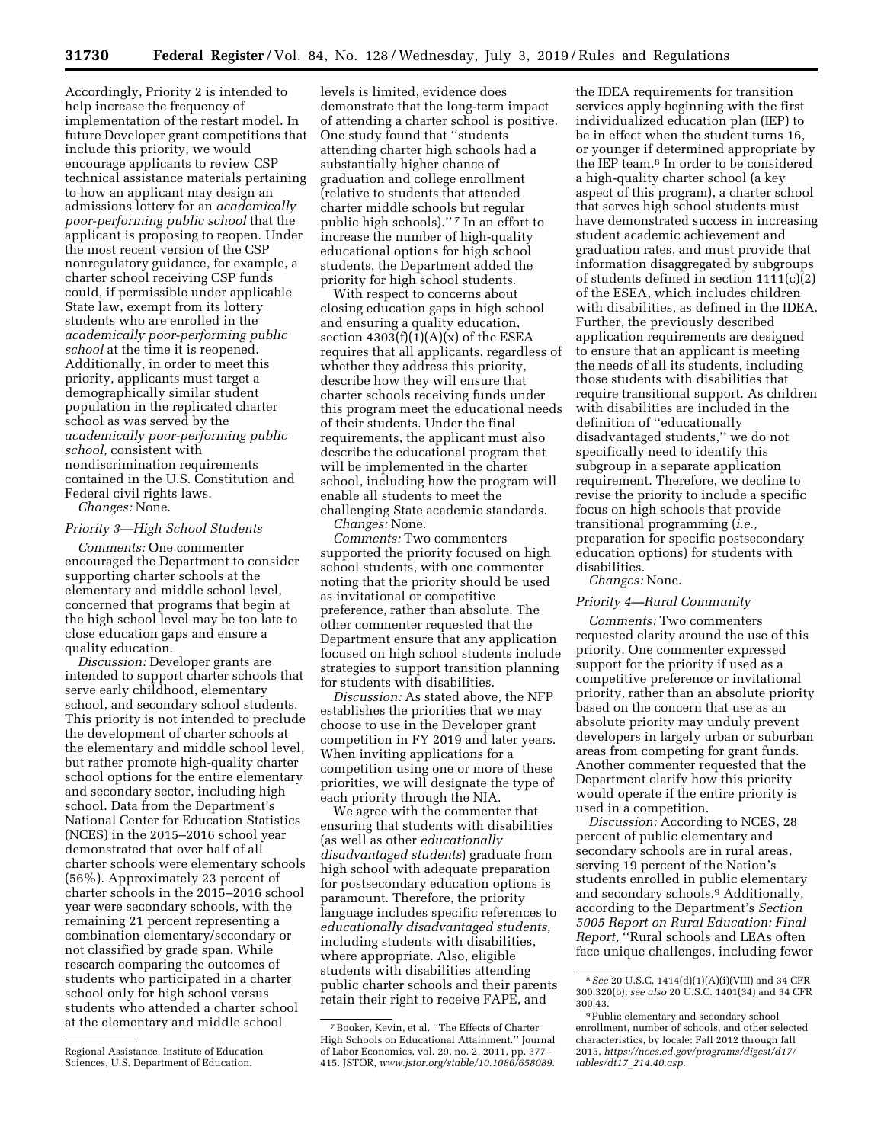Accordingly, Priority 2 is intended to help increase the frequency of implementation of the restart model. In future Developer grant competitions that include this priority, we would encourage applicants to review CSP technical assistance materials pertaining to how an applicant may design an admissions lottery for an *academically poor-performing public school* that the applicant is proposing to reopen. Under the most recent version of the CSP nonregulatory guidance, for example, a charter school receiving CSP funds could, if permissible under applicable State law, exempt from its lottery students who are enrolled in the *academically poor-performing public school* at the time it is reopened. Additionally, in order to meet this priority, applicants must target a demographically similar student population in the replicated charter school as was served by the *academically poor-performing public school,* consistent with nondiscrimination requirements contained in the U.S. Constitution and Federal civil rights laws. *Changes:* None.

#### *Priority 3—High School Students*

*Comments:* One commenter encouraged the Department to consider supporting charter schools at the elementary and middle school level, concerned that programs that begin at the high school level may be too late to close education gaps and ensure a quality education.

*Discussion:* Developer grants are intended to support charter schools that serve early childhood, elementary school, and secondary school students. This priority is not intended to preclude the development of charter schools at the elementary and middle school level, but rather promote high-quality charter school options for the entire elementary and secondary sector, including high school. Data from the Department's National Center for Education Statistics (NCES) in the 2015–2016 school year demonstrated that over half of all charter schools were elementary schools (56%). Approximately 23 percent of charter schools in the 2015–2016 school year were secondary schools, with the remaining 21 percent representing a combination elementary/secondary or not classified by grade span. While research comparing the outcomes of students who participated in a charter school only for high school versus students who attended a charter school at the elementary and middle school

levels is limited, evidence does demonstrate that the long-term impact of attending a charter school is positive. One study found that ''students attending charter high schools had a substantially higher chance of graduation and college enrollment (relative to students that attended charter middle schools but regular public high schools)."<sup>7</sup> In an effort to increase the number of high-quality educational options for high school students, the Department added the priority for high school students.

With respect to concerns about closing education gaps in high school and ensuring a quality education, section  $4303(f)(1)(A)(x)$  of the ESEA requires that all applicants, regardless of whether they address this priority, describe how they will ensure that charter schools receiving funds under this program meet the educational needs of their students. Under the final requirements, the applicant must also describe the educational program that will be implemented in the charter school, including how the program will enable all students to meet the challenging State academic standards.

*Changes:* None.

*Comments:* Two commenters supported the priority focused on high school students, with one commenter noting that the priority should be used as invitational or competitive preference, rather than absolute. The other commenter requested that the Department ensure that any application focused on high school students include strategies to support transition planning for students with disabilities.

*Discussion:* As stated above, the NFP establishes the priorities that we may choose to use in the Developer grant competition in FY 2019 and later years. When inviting applications for a competition using one or more of these priorities, we will designate the type of each priority through the NIA.

We agree with the commenter that ensuring that students with disabilities (as well as other *educationally disadvantaged students*) graduate from high school with adequate preparation for postsecondary education options is paramount. Therefore, the priority language includes specific references to *educationally disadvantaged students,*  including students with disabilities, where appropriate. Also, eligible students with disabilities attending public charter schools and their parents retain their right to receive FAPE, and

the IDEA requirements for transition services apply beginning with the first individualized education plan (IEP) to be in effect when the student turns 16, or younger if determined appropriate by the IEP team.8 In order to be considered a high-quality charter school (a key aspect of this program), a charter school that serves high school students must have demonstrated success in increasing student academic achievement and graduation rates, and must provide that information disaggregated by subgroups of students defined in section 1111(c)(2) of the ESEA, which includes children with disabilities, as defined in the IDEA. Further, the previously described application requirements are designed to ensure that an applicant is meeting the needs of all its students, including those students with disabilities that require transitional support. As children with disabilities are included in the definition of ''educationally disadvantaged students,'' we do not specifically need to identify this subgroup in a separate application requirement. Therefore, we decline to revise the priority to include a specific focus on high schools that provide transitional programming (*i.e.,*  preparation for specific postsecondary education options) for students with disabilities.

*Changes:* None.

#### *Priority 4—Rural Community*

*Comments:* Two commenters requested clarity around the use of this priority. One commenter expressed support for the priority if used as a competitive preference or invitational priority, rather than an absolute priority based on the concern that use as an absolute priority may unduly prevent developers in largely urban or suburban areas from competing for grant funds. Another commenter requested that the Department clarify how this priority would operate if the entire priority is used in a competition.

*Discussion:* According to NCES, 28 percent of public elementary and secondary schools are in rural areas, serving 19 percent of the Nation's students enrolled in public elementary and secondary schools.9 Additionally, according to the Department's *Section 5005 Report on Rural Education: Final Report,* ''Rural schools and LEAs often face unique challenges, including fewer

Regional Assistance, Institute of Education Sciences, U.S. Department of Education.

<sup>7</sup>Booker, Kevin, et al. ''The Effects of Charter High Schools on Educational Attainment.'' Journal of Labor Economics, vol. 29, no. 2, 2011, pp. 377– 415. JSTOR, *[www.jstor.org/stable/10.1086/658089.](http://www.jstor.org/stable/10.1086/658089)* 

<sup>8</sup>*See* 20 U.S.C. 1414(d)(1)(A)(i)(VIII) and 34 CFR 300.320(b); *see also* 20 U.S.C. 1401(34) and 34 CFR 300.43.

<sup>9</sup>Public elementary and secondary school enrollment, number of schools, and other selected characteristics, by locale: Fall 2012 through fall 2015, *[https://nces.ed.gov/programs/digest/d17/](https://nces.ed.gov/programs/digest/d17/tables/dt17_214.40.asp) tables/dt17*\_*[214.40.asp.](https://nces.ed.gov/programs/digest/d17/tables/dt17_214.40.asp)*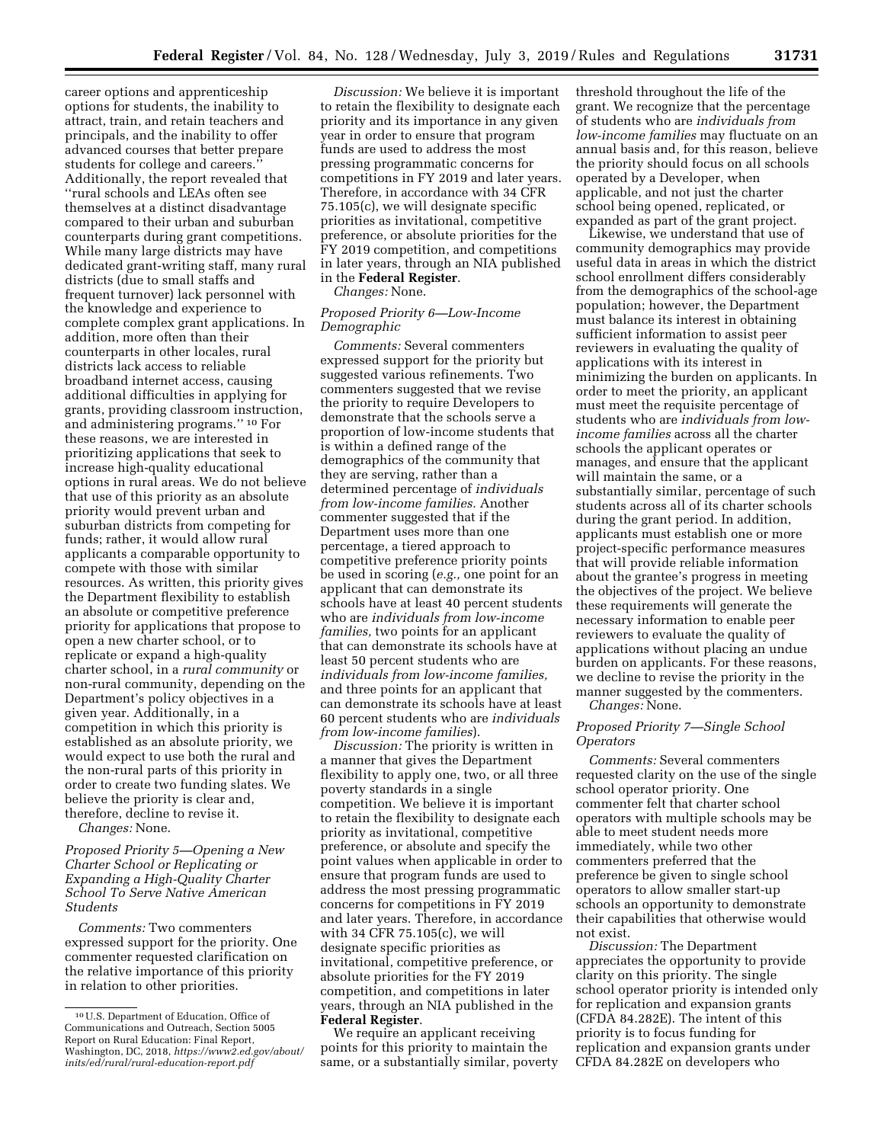career options and apprenticeship options for students, the inability to attract, train, and retain teachers and principals, and the inability to offer advanced courses that better prepare students for college and careers.'' Additionally, the report revealed that ''rural schools and LEAs often see themselves at a distinct disadvantage compared to their urban and suburban counterparts during grant competitions. While many large districts may have dedicated grant-writing staff, many rural districts (due to small staffs and frequent turnover) lack personnel with the knowledge and experience to complete complex grant applications. In addition, more often than their counterparts in other locales, rural districts lack access to reliable broadband internet access, causing additional difficulties in applying for grants, providing classroom instruction, and administering programs.'' 10 For these reasons, we are interested in prioritizing applications that seek to increase high-quality educational options in rural areas. We do not believe that use of this priority as an absolute priority would prevent urban and suburban districts from competing for funds; rather, it would allow rural applicants a comparable opportunity to compete with those with similar resources. As written, this priority gives the Department flexibility to establish an absolute or competitive preference priority for applications that propose to open a new charter school, or to replicate or expand a high-quality charter school, in a *rural community* or non-rural community, depending on the Department's policy objectives in a given year. Additionally, in a competition in which this priority is established as an absolute priority, we would expect to use both the rural and the non-rural parts of this priority in order to create two funding slates. We believe the priority is clear and, therefore, decline to revise it.

*Changes:* None.

*Proposed Priority 5—Opening a New Charter School or Replicating or Expanding a High-Quality Charter School To Serve Native American Students* 

*Comments:* Two commenters expressed support for the priority. One commenter requested clarification on the relative importance of this priority in relation to other priorities.

*Discussion:* We believe it is important to retain the flexibility to designate each priority and its importance in any given year in order to ensure that program funds are used to address the most pressing programmatic concerns for competitions in FY 2019 and later years. Therefore, in accordance with 34 CFR 75.105(c), we will designate specific priorities as invitational, competitive preference, or absolute priorities for the FY 2019 competition, and competitions in later years, through an NIA published in the **Federal Register**. *Changes:* None.

# *Proposed Priority 6—Low-Income Demographic*

*Comments:* Several commenters expressed support for the priority but suggested various refinements. Two commenters suggested that we revise the priority to require Developers to demonstrate that the schools serve a proportion of low-income students that is within a defined range of the demographics of the community that they are serving, rather than a determined percentage of *individuals from low-income families.* Another commenter suggested that if the Department uses more than one percentage, a tiered approach to competitive preference priority points be used in scoring (*e.g.,* one point for an applicant that can demonstrate its schools have at least 40 percent students who are *individuals from low-income families,* two points for an applicant that can demonstrate its schools have at least 50 percent students who are *individuals from low-income families,*  and three points for an applicant that can demonstrate its schools have at least 60 percent students who are *individuals from low-income families*).

*Discussion:* The priority is written in a manner that gives the Department flexibility to apply one, two, or all three poverty standards in a single competition. We believe it is important to retain the flexibility to designate each priority as invitational, competitive preference, or absolute and specify the point values when applicable in order to ensure that program funds are used to address the most pressing programmatic concerns for competitions in FY 2019 and later years. Therefore, in accordance with 34 CFR 75.105(c), we will designate specific priorities as invitational, competitive preference, or absolute priorities for the FY 2019 competition, and competitions in later years, through an NIA published in the **Federal Register**.

We require an applicant receiving points for this priority to maintain the same, or a substantially similar, poverty threshold throughout the life of the grant. We recognize that the percentage of students who are *individuals from low-income families* may fluctuate on an annual basis and, for this reason, believe the priority should focus on all schools operated by a Developer, when applicable, and not just the charter school being opened, replicated, or expanded as part of the grant project.

Likewise, we understand that use of community demographics may provide useful data in areas in which the district school enrollment differs considerably from the demographics of the school-age population; however, the Department must balance its interest in obtaining sufficient information to assist peer reviewers in evaluating the quality of applications with its interest in minimizing the burden on applicants. In order to meet the priority, an applicant must meet the requisite percentage of students who are *individuals from lowincome families* across all the charter schools the applicant operates or manages, and ensure that the applicant will maintain the same, or a substantially similar, percentage of such students across all of its charter schools during the grant period. In addition, applicants must establish one or more project-specific performance measures that will provide reliable information about the grantee's progress in meeting the objectives of the project. We believe these requirements will generate the necessary information to enable peer reviewers to evaluate the quality of applications without placing an undue burden on applicants. For these reasons, we decline to revise the priority in the manner suggested by the commenters.

*Changes:* None.

# *Proposed Priority 7—Single School Operators*

*Comments:* Several commenters requested clarity on the use of the single school operator priority. One commenter felt that charter school operators with multiple schools may be able to meet student needs more immediately, while two other commenters preferred that the preference be given to single school operators to allow smaller start-up schools an opportunity to demonstrate their capabilities that otherwise would not exist.

*Discussion:* The Department appreciates the opportunity to provide clarity on this priority. The single school operator priority is intended only for replication and expansion grants (CFDA 84.282E). The intent of this priority is to focus funding for replication and expansion grants under CFDA 84.282E on developers who

<sup>10</sup>U.S. Department of Education, Office of Communications and Outreach, Section 5005 Report on Rural Education: Final Report, Washington, DC, 2018, *[https://www2.ed.gov/about/](https://www2.ed.gov/about/inits/ed/rural/rural-education-report.pdf) [inits/ed/rural/rural-education-report.pdf](https://www2.ed.gov/about/inits/ed/rural/rural-education-report.pdf)*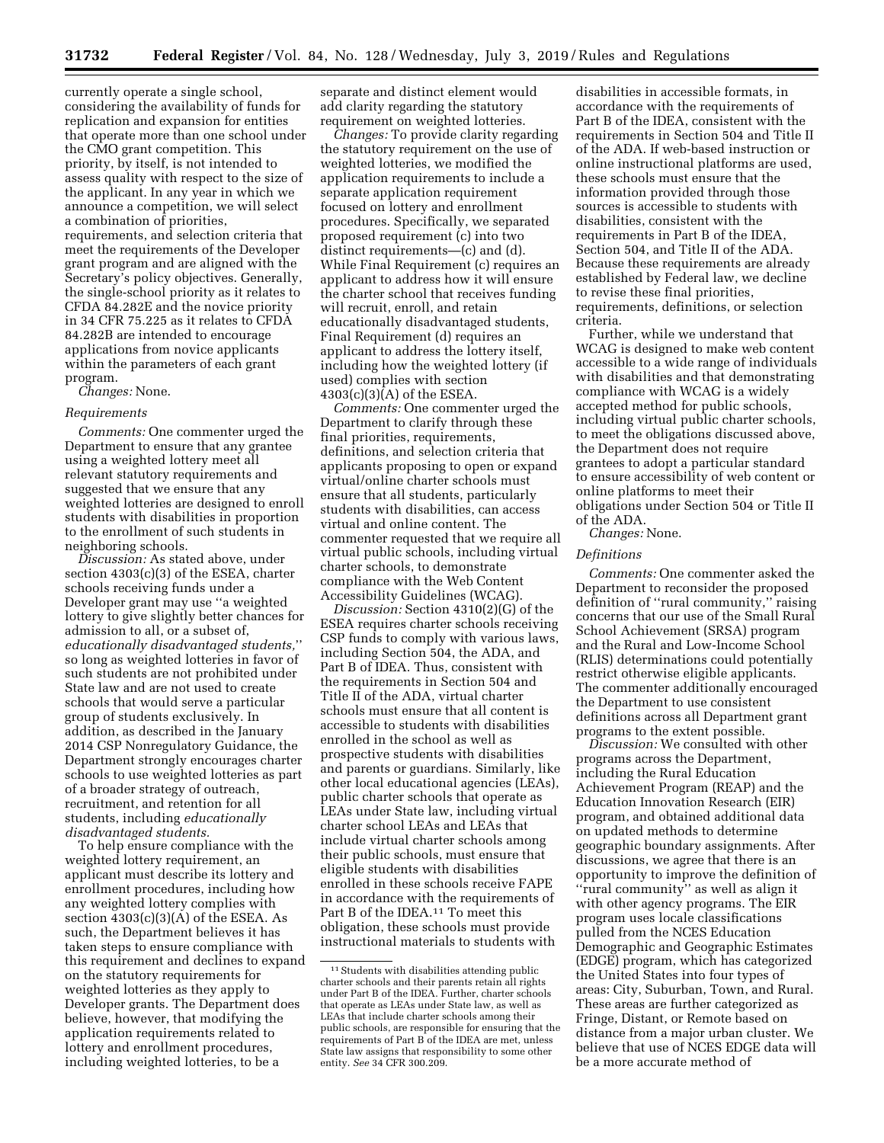currently operate a single school, considering the availability of funds for replication and expansion for entities that operate more than one school under the CMO grant competition. This priority, by itself, is not intended to assess quality with respect to the size of the applicant. In any year in which we announce a competition, we will select a combination of priorities, requirements, and selection criteria that meet the requirements of the Developer grant program and are aligned with the Secretary's policy objectives. Generally, the single-school priority as it relates to CFDA 84.282E and the novice priority in 34 CFR 75.225 as it relates to CFDA 84.282B are intended to encourage applications from novice applicants within the parameters of each grant program.

*Changes:* None.

# *Requirements*

*Comments:* One commenter urged the Department to ensure that any grantee using a weighted lottery meet all relevant statutory requirements and suggested that we ensure that any weighted lotteries are designed to enroll students with disabilities in proportion to the enrollment of such students in neighboring schools.

*Discussion:* As stated above, under section 4303(c)(3) of the ESEA, charter schools receiving funds under a Developer grant may use ''a weighted lottery to give slightly better chances for admission to all, or a subset of, *educationally disadvantaged students,*'' so long as weighted lotteries in favor of such students are not prohibited under State law and are not used to create schools that would serve a particular group of students exclusively. In addition, as described in the January 2014 CSP Nonregulatory Guidance, the Department strongly encourages charter schools to use weighted lotteries as part of a broader strategy of outreach, recruitment, and retention for all students, including *educationally disadvantaged students.* 

To help ensure compliance with the weighted lottery requirement, an applicant must describe its lottery and enrollment procedures, including how any weighted lottery complies with section  $4303(c)(3)(A)$  of the ESEA. As such, the Department believes it has taken steps to ensure compliance with this requirement and declines to expand on the statutory requirements for weighted lotteries as they apply to Developer grants. The Department does believe, however, that modifying the application requirements related to lottery and enrollment procedures, including weighted lotteries, to be a

separate and distinct element would add clarity regarding the statutory requirement on weighted lotteries.

*Changes:* To provide clarity regarding the statutory requirement on the use of weighted lotteries, we modified the application requirements to include a separate application requirement focused on lottery and enrollment procedures. Specifically, we separated proposed requirement (c) into two distinct requirements—(c) and (d). While Final Requirement (c) requires an applicant to address how it will ensure the charter school that receives funding will recruit, enroll, and retain educationally disadvantaged students, Final Requirement (d) requires an applicant to address the lottery itself, including how the weighted lottery (if used) complies with section 4303(c)(3)(A) of the ESEA.

*Comments:* One commenter urged the Department to clarify through these final priorities, requirements, definitions, and selection criteria that applicants proposing to open or expand virtual/online charter schools must ensure that all students, particularly students with disabilities, can access virtual and online content. The commenter requested that we require all virtual public schools, including virtual charter schools, to demonstrate compliance with the Web Content Accessibility Guidelines (WCAG).

*Discussion:* Section 4310(2)(G) of the ESEA requires charter schools receiving CSP funds to comply with various laws, including Section 504, the ADA, and Part B of IDEA. Thus, consistent with the requirements in Section 504 and Title II of the ADA, virtual charter schools must ensure that all content is accessible to students with disabilities enrolled in the school as well as prospective students with disabilities and parents or guardians. Similarly, like other local educational agencies (LEAs), public charter schools that operate as LEAs under State law, including virtual charter school LEAs and LEAs that include virtual charter schools among their public schools, must ensure that eligible students with disabilities enrolled in these schools receive FAPE in accordance with the requirements of Part B of the IDEA.<sup>11</sup> To meet this obligation, these schools must provide instructional materials to students with

disabilities in accessible formats, in accordance with the requirements of Part B of the IDEA, consistent with the requirements in Section 504 and Title II of the ADA. If web-based instruction or online instructional platforms are used, these schools must ensure that the information provided through those sources is accessible to students with disabilities, consistent with the requirements in Part B of the IDEA, Section 504, and Title II of the ADA. Because these requirements are already established by Federal law, we decline to revise these final priorities, requirements, definitions, or selection criteria.

Further, while we understand that WCAG is designed to make web content accessible to a wide range of individuals with disabilities and that demonstrating compliance with WCAG is a widely accepted method for public schools, including virtual public charter schools, to meet the obligations discussed above, the Department does not require grantees to adopt a particular standard to ensure accessibility of web content or online platforms to meet their obligations under Section 504 or Title II of the ADA.

*Changes:* None.

### *Definitions*

*Comments:* One commenter asked the Department to reconsider the proposed definition of ''rural community,'' raising concerns that our use of the Small Rural School Achievement (SRSA) program and the Rural and Low-Income School (RLIS) determinations could potentially restrict otherwise eligible applicants. The commenter additionally encouraged the Department to use consistent definitions across all Department grant programs to the extent possible.

*Discussion:* We consulted with other programs across the Department, including the Rural Education Achievement Program (REAP) and the Education Innovation Research (EIR) program, and obtained additional data on updated methods to determine geographic boundary assignments. After discussions, we agree that there is an opportunity to improve the definition of ''rural community'' as well as align it with other agency programs. The EIR program uses locale classifications pulled from the NCES Education Demographic and Geographic Estimates (EDGE) program, which has categorized the United States into four types of areas: City, Suburban, Town, and Rural. These areas are further categorized as Fringe, Distant, or Remote based on distance from a major urban cluster. We believe that use of NCES EDGE data will be a more accurate method of

<sup>&</sup>lt;sup>11</sup> Students with disabilities attending public charter schools and their parents retain all rights under Part B of the IDEA. Further, charter schools that operate as LEAs under State law, as well as LEAs that include charter schools among their public schools, are responsible for ensuring that the requirements of Part B of the IDEA are met, unless State law assigns that responsibility to some other entity. *See* 34 CFR 300.209.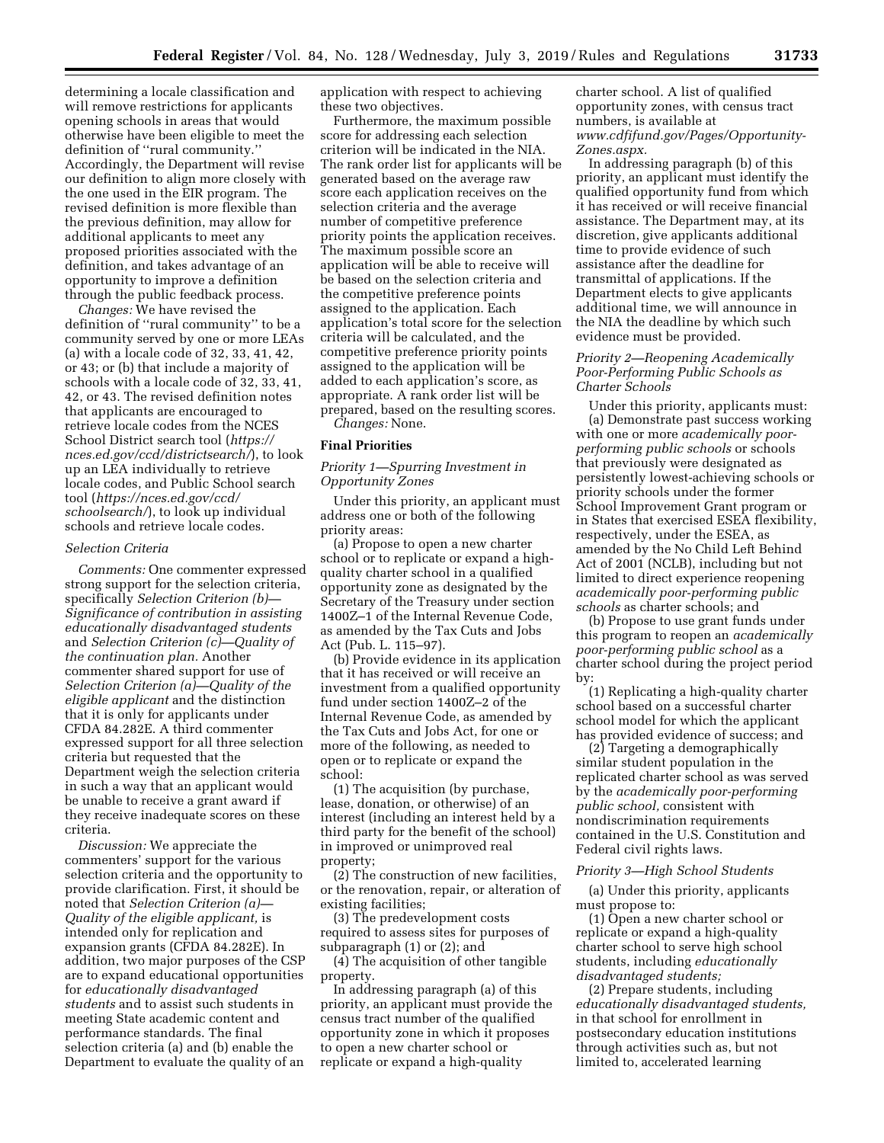determining a locale classification and will remove restrictions for applicants opening schools in areas that would otherwise have been eligible to meet the definition of ''rural community.'' Accordingly, the Department will revise our definition to align more closely with the one used in the EIR program. The revised definition is more flexible than the previous definition, may allow for additional applicants to meet any proposed priorities associated with the definition, and takes advantage of an opportunity to improve a definition through the public feedback process.

*Changes:* We have revised the definition of ''rural community'' to be a community served by one or more LEAs (a) with a locale code of 32, 33, 41, 42, or 43; or (b) that include a majority of schools with a locale code of 32, 33, 41, 42, or 43. The revised definition notes that applicants are encouraged to retrieve locale codes from the NCES School District search tool (*[https://](https://nces.ed.gov/ccd/districtsearch/) [nces.ed.gov/ccd/districtsearch/](https://nces.ed.gov/ccd/districtsearch/)*), to look up an LEA individually to retrieve locale codes, and Public School search tool (*[https://nces.ed.gov/ccd/](https://nces.ed.gov/ccd/schoolsearch/) [schoolsearch/](https://nces.ed.gov/ccd/schoolsearch/)*), to look up individual schools and retrieve locale codes.

# *Selection Criteria*

*Comments:* One commenter expressed strong support for the selection criteria, specifically *Selection Criterion (b)— Significance of contribution in assisting educationally disadvantaged students*  and *Selection Criterion (c)—Quality of the continuation plan.* Another commenter shared support for use of *Selection Criterion (a)—Quality of the eligible applicant* and the distinction that it is only for applicants under CFDA 84.282E. A third commenter expressed support for all three selection criteria but requested that the Department weigh the selection criteria in such a way that an applicant would be unable to receive a grant award if they receive inadequate scores on these criteria.

*Discussion:* We appreciate the commenters' support for the various selection criteria and the opportunity to provide clarification. First, it should be noted that *Selection Criterion (a)— Quality of the eligible applicant,* is intended only for replication and expansion grants (CFDA 84.282E). In addition, two major purposes of the CSP are to expand educational opportunities for *educationally disadvantaged students* and to assist such students in meeting State academic content and performance standards. The final selection criteria (a) and (b) enable the Department to evaluate the quality of an

application with respect to achieving these two objectives.

Furthermore, the maximum possible score for addressing each selection criterion will be indicated in the NIA. The rank order list for applicants will be generated based on the average raw score each application receives on the selection criteria and the average number of competitive preference priority points the application receives. The maximum possible score an application will be able to receive will be based on the selection criteria and the competitive preference points assigned to the application. Each application's total score for the selection criteria will be calculated, and the competitive preference priority points assigned to the application will be added to each application's score, as appropriate. A rank order list will be prepared, based on the resulting scores.

*Changes:* None.

## **Final Priorities**

# *Priority 1—Spurring Investment in Opportunity Zones*

Under this priority, an applicant must address one or both of the following priority areas:

(a) Propose to open a new charter school or to replicate or expand a highquality charter school in a qualified opportunity zone as designated by the Secretary of the Treasury under section 1400Z–1 of the Internal Revenue Code, as amended by the Tax Cuts and Jobs Act (Pub. L. 115–97).

(b) Provide evidence in its application that it has received or will receive an investment from a qualified opportunity fund under section 1400Z–2 of the Internal Revenue Code, as amended by the Tax Cuts and Jobs Act, for one or more of the following, as needed to open or to replicate or expand the school:

(1) The acquisition (by purchase, lease, donation, or otherwise) of an interest (including an interest held by a third party for the benefit of the school) in improved or unimproved real property;

(2) The construction of new facilities, or the renovation, repair, or alteration of existing facilities;

(3) The predevelopment costs required to assess sites for purposes of subparagraph (1) or (2); and

(4) The acquisition of other tangible property.

In addressing paragraph (a) of this priority, an applicant must provide the census tract number of the qualified opportunity zone in which it proposes to open a new charter school or replicate or expand a high-quality

charter school. A list of qualified opportunity zones, with census tract numbers, is available at *[www.cdfifund.gov/Pages/Opportunity-](http://www.cdfifund.gov/Pages/Opportunity-Zones.aspx)[Zones.aspx.](http://www.cdfifund.gov/Pages/Opportunity-Zones.aspx)* 

In addressing paragraph (b) of this priority, an applicant must identify the qualified opportunity fund from which it has received or will receive financial assistance. The Department may, at its discretion, give applicants additional time to provide evidence of such assistance after the deadline for transmittal of applications. If the Department elects to give applicants additional time, we will announce in the NIA the deadline by which such evidence must be provided.

# *Priority 2—Reopening Academically Poor-Performing Public Schools as Charter Schools*

Under this priority, applicants must: (a) Demonstrate past success working with one or more *academically poorperforming public schools* or schools that previously were designated as persistently lowest-achieving schools or priority schools under the former School Improvement Grant program or in States that exercised ESEA flexibility, respectively, under the ESEA, as amended by the No Child Left Behind Act of 2001 (NCLB), including but not limited to direct experience reopening *academically poor-performing public schools* as charter schools; and

(b) Propose to use grant funds under this program to reopen an *academically poor-performing public school* as a charter school during the project period by:

(1) Replicating a high-quality charter school based on a successful charter school model for which the applicant has provided evidence of success; and

(2) Targeting a demographically similar student population in the replicated charter school as was served by the *academically poor-performing public school,* consistent with nondiscrimination requirements contained in the U.S. Constitution and Federal civil rights laws.

## *Priority 3—High School Students*

(a) Under this priority, applicants must propose to:

(1) Open a new charter school or replicate or expand a high-quality charter school to serve high school students, including *educationally disadvantaged students;* 

(2) Prepare students, including *educationally disadvantaged students,*  in that school for enrollment in postsecondary education institutions through activities such as, but not limited to, accelerated learning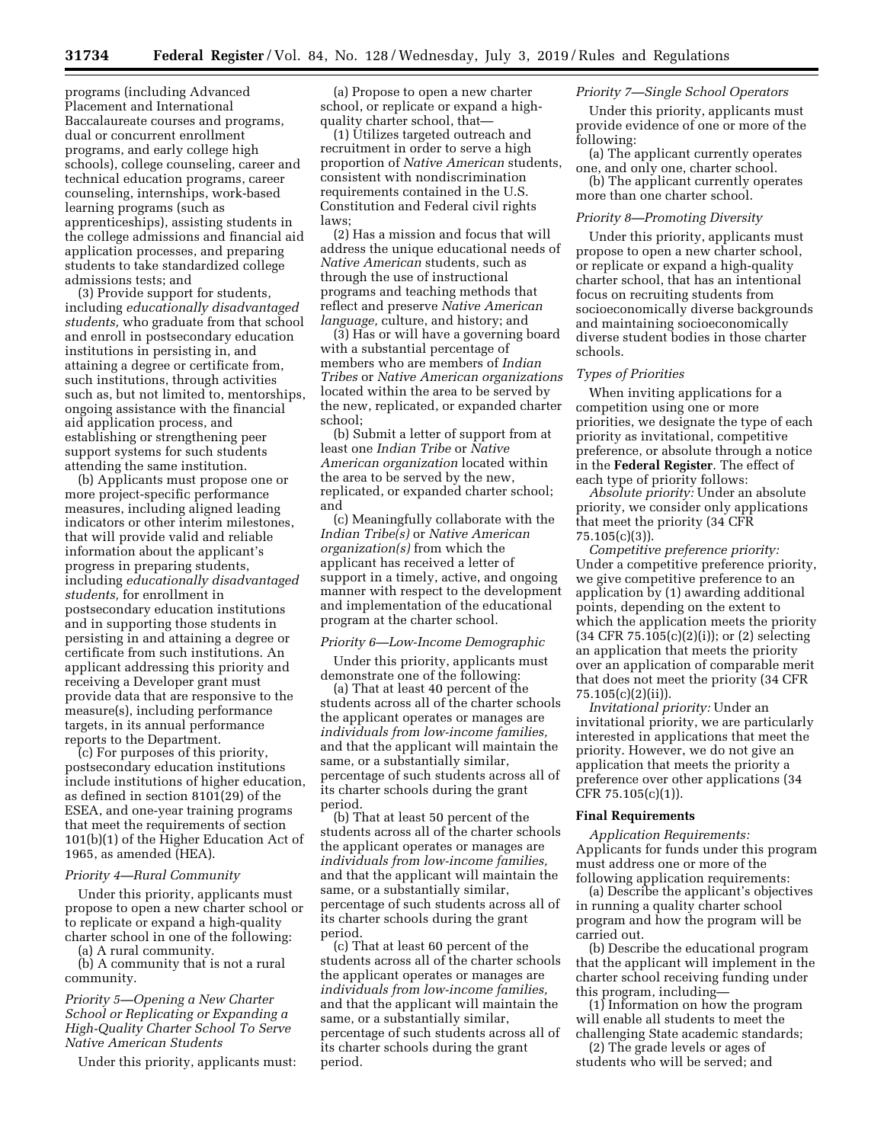programs (including Advanced Placement and International Baccalaureate courses and programs, dual or concurrent enrollment programs, and early college high schools), college counseling, career and technical education programs, career counseling, internships, work-based learning programs (such as apprenticeships), assisting students in the college admissions and financial aid application processes, and preparing students to take standardized college admissions tests; and

(3) Provide support for students, including *educationally disadvantaged students,* who graduate from that school and enroll in postsecondary education institutions in persisting in, and attaining a degree or certificate from, such institutions, through activities such as, but not limited to, mentorships, ongoing assistance with the financial aid application process, and establishing or strengthening peer support systems for such students attending the same institution.

(b) Applicants must propose one or more project-specific performance measures, including aligned leading indicators or other interim milestones, that will provide valid and reliable information about the applicant's progress in preparing students, including *educationally disadvantaged students,* for enrollment in postsecondary education institutions and in supporting those students in persisting in and attaining a degree or certificate from such institutions. An applicant addressing this priority and receiving a Developer grant must provide data that are responsive to the measure(s), including performance targets, in its annual performance reports to the Department.

(c) For purposes of this priority, postsecondary education institutions include institutions of higher education, as defined in section 8101(29) of the ESEA, and one-year training programs that meet the requirements of section 101(b)(1) of the Higher Education Act of 1965, as amended (HEA).

#### *Priority 4—Rural Community*

Under this priority, applicants must propose to open a new charter school or to replicate or expand a high-quality charter school in one of the following:

(a) A rural community.

(b) A community that is not a rural community.

# *Priority 5—Opening a New Charter School or Replicating or Expanding a High-Quality Charter School To Serve Native American Students*

Under this priority, applicants must:

(a) Propose to open a new charter school, or replicate or expand a highquality charter school, that—

(1) Utilizes targeted outreach and recruitment in order to serve a high proportion of *Native American* students, consistent with nondiscrimination requirements contained in the U.S. Constitution and Federal civil rights laws;

(2) Has a mission and focus that will address the unique educational needs of *Native American* students, such as through the use of instructional programs and teaching methods that reflect and preserve *Native American language,* culture, and history; and

(3) Has or will have a governing board with a substantial percentage of members who are members of *Indian Tribes* or *Native American organizations*  located within the area to be served by the new, replicated, or expanded charter school;

(b) Submit a letter of support from at least one *Indian Tribe* or *Native American organization* located within the area to be served by the new, replicated, or expanded charter school; and

(c) Meaningfully collaborate with the *Indian Tribe(s)* or *Native American organization(s)* from which the applicant has received a letter of support in a timely, active, and ongoing manner with respect to the development and implementation of the educational program at the charter school.

#### *Priority 6—Low-Income Demographic*

Under this priority, applicants must demonstrate one of the following:

(a) That at least 40 percent of the students across all of the charter schools the applicant operates or manages are *individuals from low-income families,*  and that the applicant will maintain the same, or a substantially similar, percentage of such students across all of its charter schools during the grant period.

(b) That at least 50 percent of the students across all of the charter schools the applicant operates or manages are *individuals from low-income families,*  and that the applicant will maintain the same, or a substantially similar, percentage of such students across all of its charter schools during the grant period.

(c) That at least 60 percent of the students across all of the charter schools the applicant operates or manages are *individuals from low-income families,*  and that the applicant will maintain the same, or a substantially similar, percentage of such students across all of its charter schools during the grant period.

### *Priority 7—Single School Operators*

Under this priority, applicants must provide evidence of one or more of the following:

(a) The applicant currently operates one, and only one, charter school.

(b) The applicant currently operates more than one charter school.

# *Priority 8—Promoting Diversity*

Under this priority, applicants must propose to open a new charter school, or replicate or expand a high-quality charter school, that has an intentional focus on recruiting students from socioeconomically diverse backgrounds and maintaining socioeconomically diverse student bodies in those charter schools.

#### *Types of Priorities*

When inviting applications for a competition using one or more priorities, we designate the type of each priority as invitational, competitive preference, or absolute through a notice in the **Federal Register**. The effect of each type of priority follows:

*Absolute priority:* Under an absolute priority, we consider only applications that meet the priority (34 CFR 75.105(c)(3)).

*Competitive preference priority:*  Under a competitive preference priority, we give competitive preference to an application by (1) awarding additional points, depending on the extent to which the application meets the priority (34 CFR 75.105(c)(2)(i)); or (2) selecting an application that meets the priority over an application of comparable merit that does not meet the priority (34 CFR 75.105(c)(2)(ii)).

*Invitational priority:* Under an invitational priority, we are particularly interested in applications that meet the priority. However, we do not give an application that meets the priority a preference over other applications (34 CFR 75.105(c)(1)).

#### **Final Requirements**

*Application Requirements:*  Applicants for funds under this program must address one or more of the following application requirements:

(a) Describe the applicant's objectives in running a quality charter school program and how the program will be carried out.

(b) Describe the educational program that the applicant will implement in the charter school receiving funding under this program, including—

(1) Information on how the program will enable all students to meet the challenging State academic standards;

(2) The grade levels or ages of students who will be served; and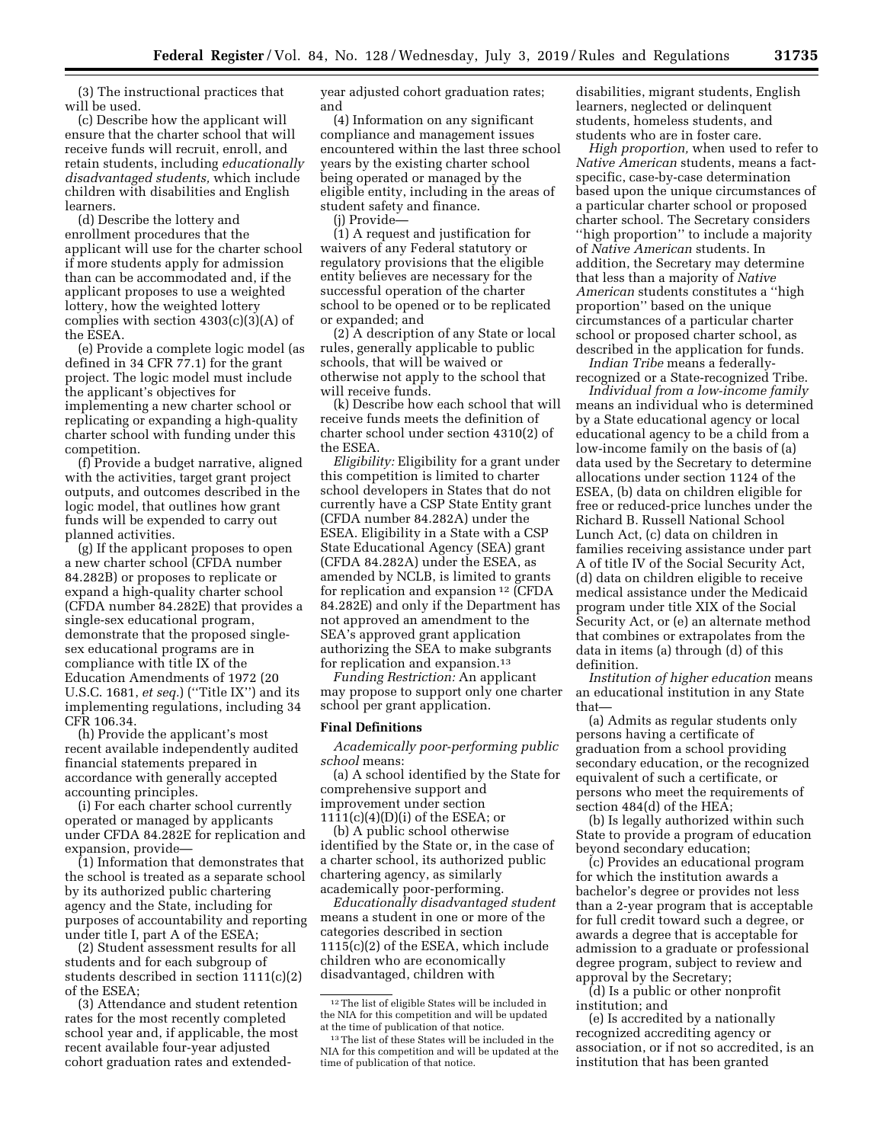(3) The instructional practices that will be used.

(c) Describe how the applicant will ensure that the charter school that will receive funds will recruit, enroll, and retain students, including *educationally disadvantaged students,* which include children with disabilities and English learners.

(d) Describe the lottery and enrollment procedures that the applicant will use for the charter school if more students apply for admission than can be accommodated and, if the applicant proposes to use a weighted lottery, how the weighted lottery complies with section 4303(c)(3)(A) of the ESEA.

(e) Provide a complete logic model (as defined in 34 CFR 77.1) for the grant project. The logic model must include the applicant's objectives for implementing a new charter school or replicating or expanding a high-quality charter school with funding under this competition.

(f) Provide a budget narrative, aligned with the activities, target grant project outputs, and outcomes described in the logic model, that outlines how grant funds will be expended to carry out planned activities.

(g) If the applicant proposes to open a new charter school (CFDA number 84.282B) or proposes to replicate or expand a high-quality charter school (CFDA number 84.282E) that provides a single-sex educational program, demonstrate that the proposed singlesex educational programs are in compliance with title IX of the Education Amendments of 1972 (20 U.S.C. 1681, *et seq.*) (''Title IX'') and its implementing regulations, including 34 CFR 106.34.

(h) Provide the applicant's most recent available independently audited financial statements prepared in accordance with generally accepted accounting principles.

(i) For each charter school currently operated or managed by applicants under CFDA 84.282E for replication and expansion, provide—

(1) Information that demonstrates that the school is treated as a separate school by its authorized public chartering agency and the State, including for purposes of accountability and reporting under title I, part A of the ESEA;

(2) Student assessment results for all students and for each subgroup of students described in section 1111(c)(2) of the ESEA;

(3) Attendance and student retention rates for the most recently completed school year and, if applicable, the most recent available four-year adjusted cohort graduation rates and extendedyear adjusted cohort graduation rates; and

(4) Information on any significant compliance and management issues encountered within the last three school years by the existing charter school being operated or managed by the eligible entity, including in the areas of student safety and finance.

(j) Provide—

(1) A request and justification for waivers of any Federal statutory or regulatory provisions that the eligible entity believes are necessary for the successful operation of the charter school to be opened or to be replicated or expanded; and

(2) A description of any State or local rules, generally applicable to public schools, that will be waived or otherwise not apply to the school that will receive funds.

(k) Describe how each school that will receive funds meets the definition of charter school under section 4310(2) of the ESEA.

*Eligibility:* Eligibility for a grant under this competition is limited to charter school developers in States that do not currently have a CSP State Entity grant (CFDA number 84.282A) under the ESEA. Eligibility in a State with a CSP State Educational Agency (SEA) grant (CFDA 84.282A) under the ESEA, as amended by NCLB, is limited to grants for replication and expansion 12 (CFDA 84.282E) and only if the Department has not approved an amendment to the SEA's approved grant application authorizing the SEA to make subgrants for replication and expansion.13

*Funding Restriction:* An applicant may propose to support only one charter school per grant application.

## **Final Definitions**

*Academically poor-performing public school* means:

(a) A school identified by the State for comprehensive support and improvement under section 1111(c)(4)(D)(i) of the ESEA; or

(b) A public school otherwise identified by the State or, in the case of a charter school, its authorized public chartering agency, as similarly academically poor-performing.

*Educationally disadvantaged student*  means a student in one or more of the categories described in section 1115(c)(2) of the ESEA, which include children who are economically disadvantaged, children with

disabilities, migrant students, English learners, neglected or delinquent students, homeless students, and students who are in foster care.

*High proportion,* when used to refer to *Native American* students, means a factspecific, case-by-case determination based upon the unique circumstances of a particular charter school or proposed charter school. The Secretary considers ''high proportion'' to include a majority of *Native American* students. In addition, the Secretary may determine that less than a majority of *Native American* students constitutes a ''high proportion'' based on the unique circumstances of a particular charter school or proposed charter school, as described in the application for funds.

*Indian Tribe* means a federallyrecognized or a State-recognized Tribe.

*Individual from a low-income family*  means an individual who is determined by a State educational agency or local educational agency to be a child from a low-income family on the basis of (a) data used by the Secretary to determine allocations under section 1124 of the ESEA, (b) data on children eligible for free or reduced-price lunches under the Richard B. Russell National School Lunch Act, (c) data on children in families receiving assistance under part A of title IV of the Social Security Act, (d) data on children eligible to receive medical assistance under the Medicaid program under title XIX of the Social Security Act, or (e) an alternate method that combines or extrapolates from the data in items (a) through (d) of this definition.

*Institution of higher education* means an educational institution in any State that—

(a) Admits as regular students only persons having a certificate of graduation from a school providing secondary education, or the recognized equivalent of such a certificate, or persons who meet the requirements of section 484(d) of the HEA;

(b) Is legally authorized within such State to provide a program of education beyond secondary education;

(c) Provides an educational program for which the institution awards a bachelor's degree or provides not less than a 2-year program that is acceptable for full credit toward such a degree, or awards a degree that is acceptable for admission to a graduate or professional degree program, subject to review and approval by the Secretary;

(d) Is a public or other nonprofit institution; and

(e) Is accredited by a nationally recognized accrediting agency or association, or if not so accredited, is an institution that has been granted

<sup>12</sup>The list of eligible States will be included in the NIA for this competition and will be updated at the time of publication of that notice.

<sup>13</sup>The list of these States will be included in the NIA for this competition and will be updated at the time of publication of that notice.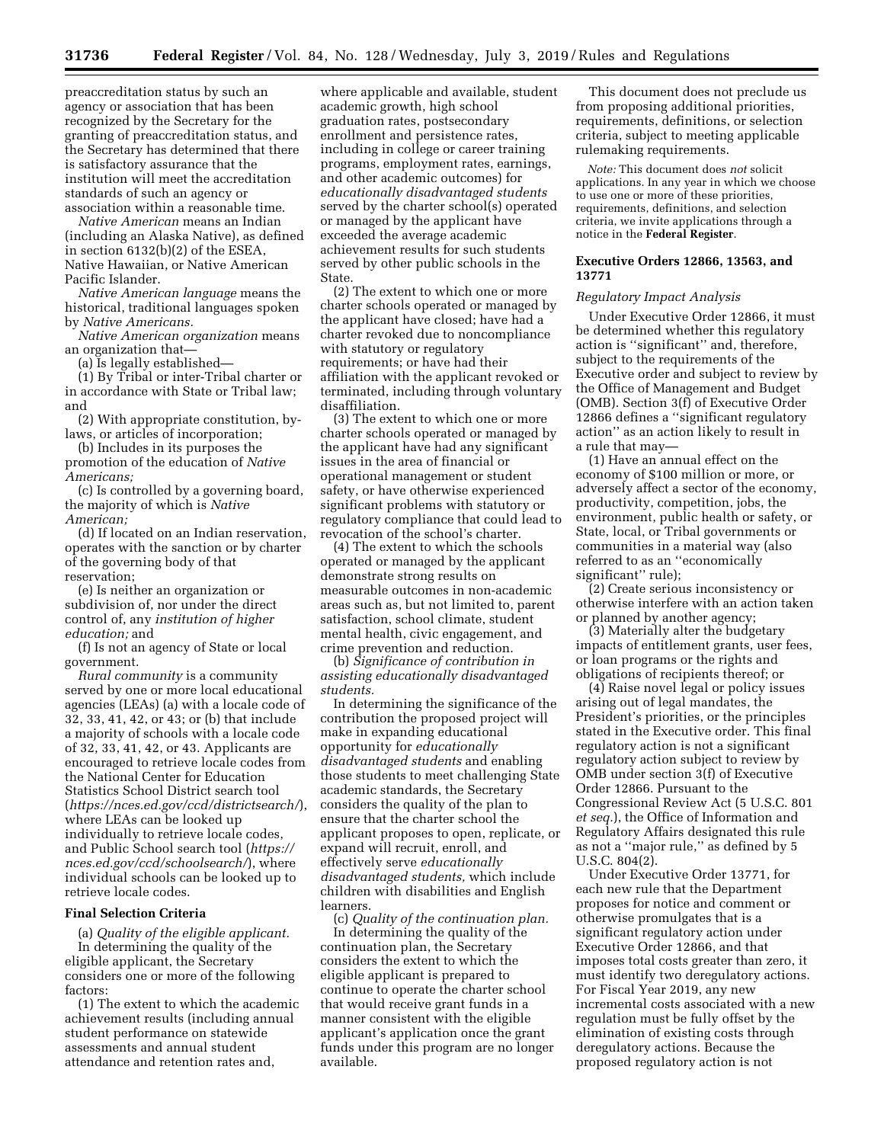preaccreditation status by such an agency or association that has been recognized by the Secretary for the granting of preaccreditation status, and the Secretary has determined that there is satisfactory assurance that the institution will meet the accreditation standards of such an agency or association within a reasonable time.

*Native American* means an Indian (including an Alaska Native), as defined in section 6132(b)(2) of the ESEA, Native Hawaiian, or Native American Pacific Islander.

*Native American language* means the historical, traditional languages spoken by *Native Americans.* 

*Native American organization* means an organization that—

(a) Is legally established—

(1) By Tribal or inter-Tribal charter or in accordance with State or Tribal law; and

(2) With appropriate constitution, bylaws, or articles of incorporation;

(b) Includes in its purposes the promotion of the education of *Native Americans;* 

(c) Is controlled by a governing board, the majority of which is *Native American;* 

(d) If located on an Indian reservation, operates with the sanction or by charter of the governing body of that reservation;

(e) Is neither an organization or subdivision of, nor under the direct control of, any *institution of higher education;* and

(f) Is not an agency of State or local government.

*Rural community* is a community served by one or more local educational agencies (LEAs) (a) with a locale code of 32, 33, 41, 42, or 43; or (b) that include a majority of schools with a locale code of 32, 33, 41, 42, or 43. Applicants are encouraged to retrieve locale codes from the National Center for Education Statistics School District search tool (*<https://nces.ed.gov/ccd/districtsearch/>*), where LEAs can be looked up individually to retrieve locale codes, and Public School search tool (*[https://](https://nces.ed.gov/ccd/schoolsearch/)  [nces.ed.gov/ccd/schoolsearch/](https://nces.ed.gov/ccd/schoolsearch/)*), where individual schools can be looked up to retrieve locale codes.

### **Final Selection Criteria**

(a) *Quality of the eligible applicant.*  In determining the quality of the eligible applicant, the Secretary considers one or more of the following factors:

(1) The extent to which the academic achievement results (including annual student performance on statewide assessments and annual student attendance and retention rates and,

where applicable and available, student academic growth, high school graduation rates, postsecondary enrollment and persistence rates, including in college or career training programs, employment rates, earnings, and other academic outcomes) for *educationally disadvantaged students*  served by the charter school(s) operated or managed by the applicant have exceeded the average academic achievement results for such students served by other public schools in the State.

(2) The extent to which one or more charter schools operated or managed by the applicant have closed; have had a charter revoked due to noncompliance with statutory or regulatory requirements; or have had their affiliation with the applicant revoked or terminated, including through voluntary disaffiliation.

(3) The extent to which one or more charter schools operated or managed by the applicant have had any significant issues in the area of financial or operational management or student safety, or have otherwise experienced significant problems with statutory or regulatory compliance that could lead to revocation of the school's charter.

(4) The extent to which the schools operated or managed by the applicant demonstrate strong results on measurable outcomes in non-academic areas such as, but not limited to, parent satisfaction, school climate, student mental health, civic engagement, and crime prevention and reduction.

(b) *Significance of contribution in assisting educationally disadvantaged students.* 

In determining the significance of the contribution the proposed project will make in expanding educational opportunity for *educationally disadvantaged students* and enabling those students to meet challenging State academic standards, the Secretary considers the quality of the plan to ensure that the charter school the applicant proposes to open, replicate, or expand will recruit, enroll, and effectively serve *educationally disadvantaged students,* which include children with disabilities and English learners.

(c) *Quality of the continuation plan.* 

In determining the quality of the continuation plan, the Secretary considers the extent to which the eligible applicant is prepared to continue to operate the charter school that would receive grant funds in a manner consistent with the eligible applicant's application once the grant funds under this program are no longer available.

This document does not preclude us from proposing additional priorities, requirements, definitions, or selection criteria, subject to meeting applicable rulemaking requirements.

*Note:* This document does *not* solicit applications. In any year in which we choose to use one or more of these priorities, requirements, definitions, and selection criteria, we invite applications through a notice in the **Federal Register**.

### **Executive Orders 12866, 13563, and 13771**

### *Regulatory Impact Analysis*

Under Executive Order 12866, it must be determined whether this regulatory action is ''significant'' and, therefore, subject to the requirements of the Executive order and subject to review by the Office of Management and Budget (OMB). Section 3(f) of Executive Order 12866 defines a ''significant regulatory action'' as an action likely to result in a rule that may—

(1) Have an annual effect on the economy of \$100 million or more, or adversely affect a sector of the economy, productivity, competition, jobs, the environment, public health or safety, or State, local, or Tribal governments or communities in a material way (also referred to as an ''economically significant'' rule);

(2) Create serious inconsistency or otherwise interfere with an action taken or planned by another agency;

(3) Materially alter the budgetary impacts of entitlement grants, user fees, or loan programs or the rights and obligations of recipients thereof; or

(4) Raise novel legal or policy issues arising out of legal mandates, the President's priorities, or the principles stated in the Executive order. This final regulatory action is not a significant regulatory action subject to review by OMB under section 3(f) of Executive Order 12866. Pursuant to the Congressional Review Act (5 U.S.C. 801 *et seq.*), the Office of Information and Regulatory Affairs designated this rule as not a ''major rule,'' as defined by 5 U.S.C. 804(2).

Under Executive Order 13771, for each new rule that the Department proposes for notice and comment or otherwise promulgates that is a significant regulatory action under Executive Order 12866, and that imposes total costs greater than zero, it must identify two deregulatory actions. For Fiscal Year 2019, any new incremental costs associated with a new regulation must be fully offset by the elimination of existing costs through deregulatory actions. Because the proposed regulatory action is not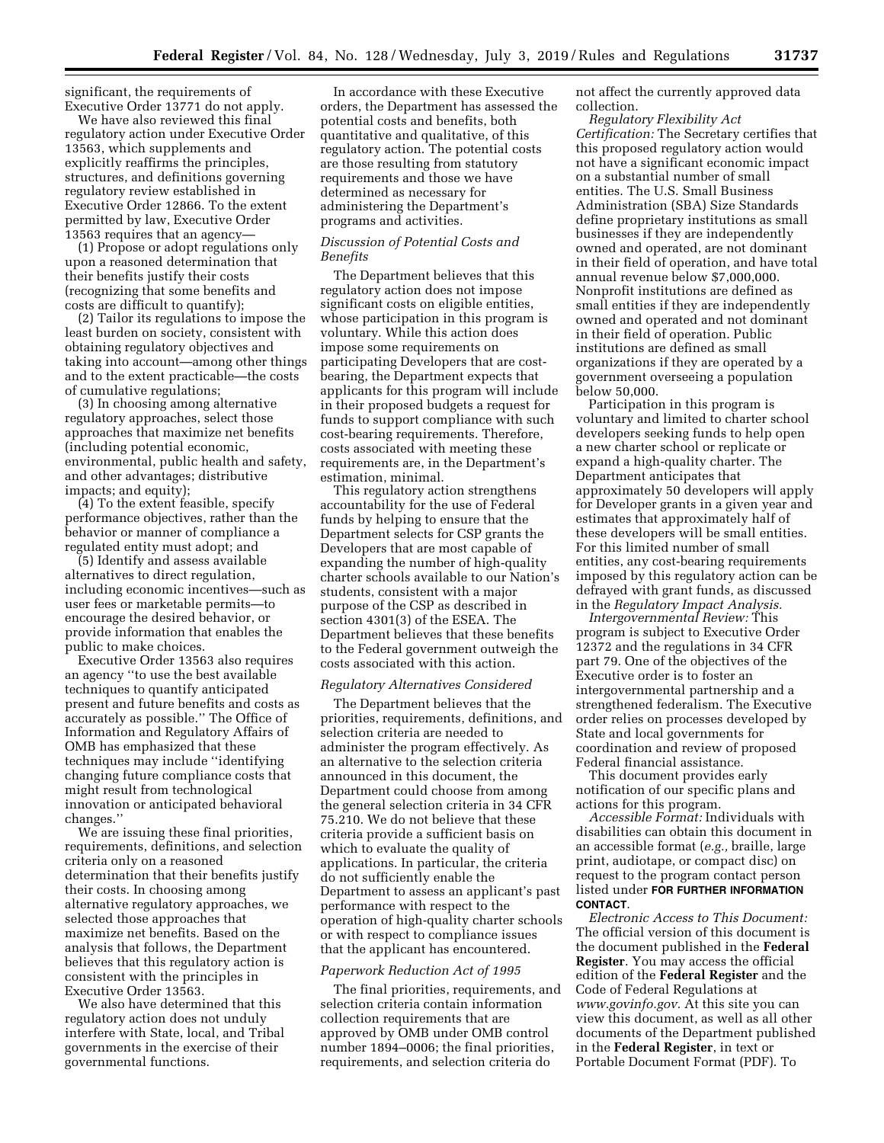significant, the requirements of Executive Order 13771 do not apply.

We have also reviewed this final regulatory action under Executive Order 13563, which supplements and explicitly reaffirms the principles, structures, and definitions governing regulatory review established in Executive Order 12866. To the extent permitted by law, Executive Order 13563 requires that an agency—

(1) Propose or adopt regulations only upon a reasoned determination that their benefits justify their costs (recognizing that some benefits and costs are difficult to quantify);

(2) Tailor its regulations to impose the least burden on society, consistent with obtaining regulatory objectives and taking into account—among other things and to the extent practicable—the costs of cumulative regulations;

(3) In choosing among alternative regulatory approaches, select those approaches that maximize net benefits (including potential economic, environmental, public health and safety, and other advantages; distributive impacts; and equity);

(4) To the extent feasible, specify performance objectives, rather than the behavior or manner of compliance a regulated entity must adopt; and

(5) Identify and assess available alternatives to direct regulation, including economic incentives—such as user fees or marketable permits—to encourage the desired behavior, or provide information that enables the public to make choices.

Executive Order 13563 also requires an agency ''to use the best available techniques to quantify anticipated present and future benefits and costs as accurately as possible.'' The Office of Information and Regulatory Affairs of OMB has emphasized that these techniques may include ''identifying changing future compliance costs that might result from technological innovation or anticipated behavioral changes.''

We are issuing these final priorities, requirements, definitions, and selection criteria only on a reasoned determination that their benefits justify their costs. In choosing among alternative regulatory approaches, we selected those approaches that maximize net benefits. Based on the analysis that follows, the Department believes that this regulatory action is consistent with the principles in Executive Order 13563.

We also have determined that this regulatory action does not unduly interfere with State, local, and Tribal governments in the exercise of their governmental functions.

In accordance with these Executive orders, the Department has assessed the potential costs and benefits, both quantitative and qualitative, of this regulatory action. The potential costs are those resulting from statutory requirements and those we have determined as necessary for administering the Department's programs and activities.

### *Discussion of Potential Costs and Benefits*

The Department believes that this regulatory action does not impose significant costs on eligible entities, whose participation in this program is voluntary. While this action does impose some requirements on participating Developers that are costbearing, the Department expects that applicants for this program will include in their proposed budgets a request for funds to support compliance with such cost-bearing requirements. Therefore, costs associated with meeting these requirements are, in the Department's estimation, minimal.

This regulatory action strengthens accountability for the use of Federal funds by helping to ensure that the Department selects for CSP grants the Developers that are most capable of expanding the number of high-quality charter schools available to our Nation's students, consistent with a major purpose of the CSP as described in section 4301(3) of the ESEA. The Department believes that these benefits to the Federal government outweigh the costs associated with this action.

#### *Regulatory Alternatives Considered*

The Department believes that the priorities, requirements, definitions, and selection criteria are needed to administer the program effectively. As an alternative to the selection criteria announced in this document, the Department could choose from among the general selection criteria in 34 CFR 75.210. We do not believe that these criteria provide a sufficient basis on which to evaluate the quality of applications. In particular, the criteria do not sufficiently enable the Department to assess an applicant's past performance with respect to the operation of high-quality charter schools or with respect to compliance issues that the applicant has encountered.

#### *Paperwork Reduction Act of 1995*

The final priorities, requirements, and selection criteria contain information collection requirements that are approved by OMB under OMB control number 1894–0006; the final priorities, requirements, and selection criteria do

not affect the currently approved data collection.

*Regulatory Flexibility Act Certification:* The Secretary certifies that this proposed regulatory action would not have a significant economic impact on a substantial number of small entities. The U.S. Small Business Administration (SBA) Size Standards define proprietary institutions as small businesses if they are independently owned and operated, are not dominant in their field of operation, and have total annual revenue below \$7,000,000. Nonprofit institutions are defined as small entities if they are independently owned and operated and not dominant in their field of operation. Public institutions are defined as small organizations if they are operated by a government overseeing a population below 50,000.

Participation in this program is voluntary and limited to charter school developers seeking funds to help open a new charter school or replicate or expand a high-quality charter. The Department anticipates that approximately 50 developers will apply for Developer grants in a given year and estimates that approximately half of these developers will be small entities. For this limited number of small entities, any cost-bearing requirements imposed by this regulatory action can be defrayed with grant funds, as discussed in the *Regulatory Impact Analysis.* 

*Intergovernmental Review:* This program is subject to Executive Order 12372 and the regulations in 34 CFR part 79. One of the objectives of the Executive order is to foster an intergovernmental partnership and a strengthened federalism. The Executive order relies on processes developed by State and local governments for coordination and review of proposed Federal financial assistance.

This document provides early notification of our specific plans and actions for this program.

*Accessible Format:* Individuals with disabilities can obtain this document in an accessible format (*e.g.,* braille, large print, audiotape, or compact disc) on request to the program contact person listed under **FOR FURTHER INFORMATION CONTACT**.

*Electronic Access to This Document:*  The official version of this document is the document published in the **Federal Register**. You may access the official edition of the **Federal Register** and the Code of Federal Regulations at *[www.govinfo.gov.](http://www.govinfo.gov)* At this site you can view this document, as well as all other documents of the Department published in the **Federal Register**, in text or Portable Document Format (PDF). To